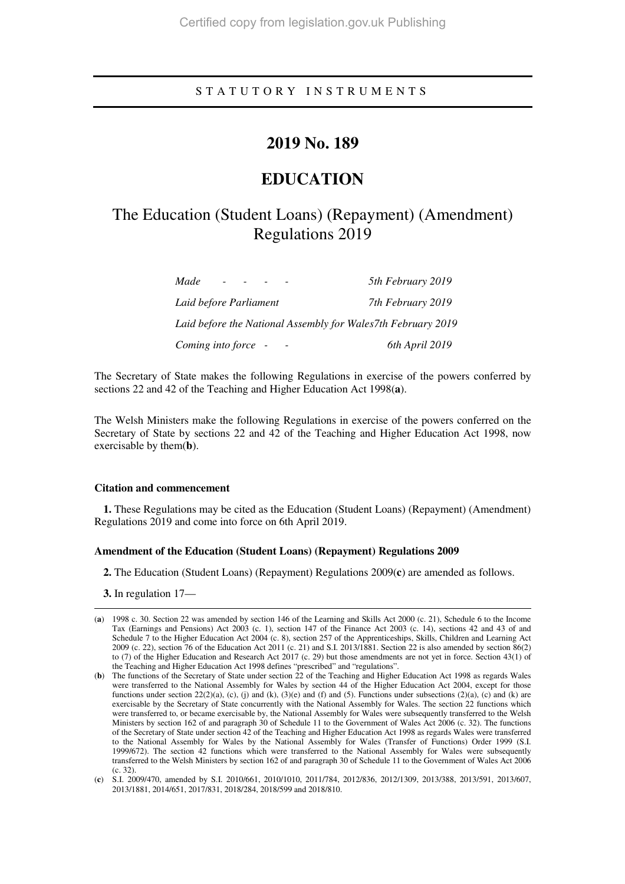### S T A T U T O R Y I N S T R U M E N T S

### **2019 No. 189**

# **EDUCATION**

## The Education (Student Loans) (Repayment) (Amendment) Regulations 2019

| Made                                                         | 5th February 2019 |
|--------------------------------------------------------------|-------------------|
| Laid before Parliament                                       | 7th February 2019 |
| Laid before the National Assembly for Wales7th February 2019 |                   |
| Coming into force -                                          | 6th April 2019    |

The Secretary of State makes the following Regulations in exercise of the powers conferred by sections 22 and 42 of the Teaching and Higher Education Act 1998(**a**).

The Welsh Ministers make the following Regulations in exercise of the powers conferred on the Secretary of State by sections 22 and 42 of the Teaching and Higher Education Act 1998, now exercisable by them(**b**).

#### **Citation and commencement**

**1.** These Regulations may be cited as the Education (Student Loans) (Repayment) (Amendment) Regulations 2019 and come into force on 6th April 2019.

#### **Amendment of the Education (Student Loans) (Repayment) Regulations 2009**

**2.** The Education (Student Loans) (Repayment) Regulations 2009(**c**) are amended as follows.

**3.** In regulation 17—

-

<sup>(</sup>**a**) 1998 c. 30. Section 22 was amended by section 146 of the Learning and Skills Act 2000 (c. 21), Schedule 6 to the Income Tax (Earnings and Pensions) Act 2003 (c. 1), section 147 of the Finance Act 2003 (c. 14), sections 42 and 43 of and Schedule 7 to the Higher Education Act 2004 (c. 8), section 257 of the Apprenticeships, Skills, Children and Learning Act 2009 (c. 22), section 76 of the Education Act 2011 (c. 21) and S.I. 2013/1881. Section 22 is also amended by section 86(2) to (7) of the Higher Education and Research Act 2017 (c. 29) but those amendments are not yet in force. Section 43(1) of the Teaching and Higher Education Act 1998 defines "prescribed" and "regulations".

<sup>(</sup>**b**) The functions of the Secretary of State under section 22 of the Teaching and Higher Education Act 1998 as regards Wales were transferred to the National Assembly for Wales by section 44 of the Higher Education Act 2004, except for those functions under section 22(2)(a), (c), (j) and (k), (3)(e) and (f) and (5). Functions under subsections (2)(a), (c) and (k) are exercisable by the Secretary of State concurrently with the National Assembly for Wales. The section 22 functions which were transferred to, or became exercisable by, the National Assembly for Wales were subsequently transferred to the Welsh Ministers by section 162 of and paragraph 30 of Schedule 11 to the Government of Wales Act 2006 (c. 32). The functions of the Secretary of State under section 42 of the Teaching and Higher Education Act 1998 as regards Wales were transferred to the National Assembly for Wales by the National Assembly for Wales (Transfer of Functions) Order 1999 (S.I. 1999/672). The section 42 functions which were transferred to the National Assembly for Wales were subsequently transferred to the Welsh Ministers by section 162 of and paragraph 30 of Schedule 11 to the Government of Wales Act 2006 (c. 32).

<sup>(</sup>**c**) S.I. 2009/470, amended by S.I. 2010/661, 2010/1010, 2011/784, 2012/836, 2012/1309, 2013/388, 2013/591, 2013/607, 2013/1881, 2014/651, 2017/831, 2018/284, 2018/599 and 2018/810.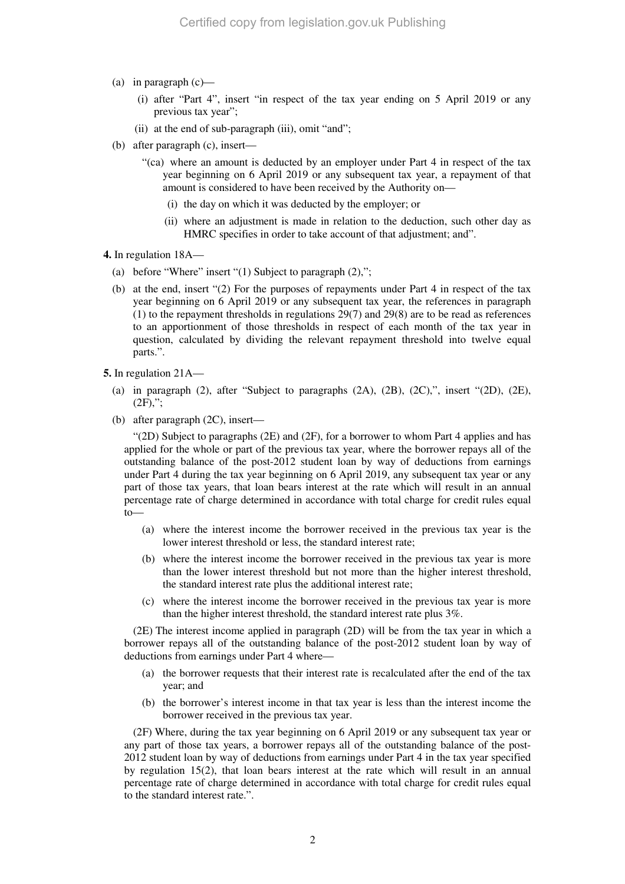- (a) in paragraph  $(c)$ 
	- (i) after "Part 4", insert "in respect of the tax year ending on 5 April 2019 or any previous tax year";
	- (ii) at the end of sub-paragraph (iii), omit "and";
- (b) after paragraph (c), insert—
	- "(ca) where an amount is deducted by an employer under Part 4 in respect of the tax year beginning on 6 April 2019 or any subsequent tax year, a repayment of that amount is considered to have been received by the Authority on—
		- (i) the day on which it was deducted by the employer; or
		- (ii) where an adjustment is made in relation to the deduction, such other day as HMRC specifies in order to take account of that adjustment; and".
- **4.** In regulation 18A—
	- (a) before "Where" insert "(1) Subject to paragraph  $(2)$ ,";
	- (b) at the end, insert "(2) For the purposes of repayments under Part 4 in respect of the tax year beginning on 6 April 2019 or any subsequent tax year, the references in paragraph (1) to the repayment thresholds in regulations 29(7) and 29(8) are to be read as references to an apportionment of those thresholds in respect of each month of the tax year in question, calculated by dividing the relevant repayment threshold into twelve equal parts.".
- **5.** In regulation 21A—
	- (a) in paragraph  $(2)$ , after "Subject to paragraphs  $(2A)$ ,  $(2B)$ ,  $(2C)$ ,", insert " $(2D)$ ,  $(2E)$ ,  $(2F)$ .":
	- (b) after paragraph (2C), insert—

"(2D) Subject to paragraphs (2E) and (2F), for a borrower to whom Part 4 applies and has applied for the whole or part of the previous tax year, where the borrower repays all of the outstanding balance of the post-2012 student loan by way of deductions from earnings under Part 4 during the tax year beginning on 6 April 2019, any subsequent tax year or any part of those tax years, that loan bears interest at the rate which will result in an annual percentage rate of charge determined in accordance with total charge for credit rules equal to—

- (a) where the interest income the borrower received in the previous tax year is the lower interest threshold or less, the standard interest rate;
- (b) where the interest income the borrower received in the previous tax year is more than the lower interest threshold but not more than the higher interest threshold, the standard interest rate plus the additional interest rate;
- (c) where the interest income the borrower received in the previous tax year is more than the higher interest threshold, the standard interest rate plus 3%.

(2E) The interest income applied in paragraph (2D) will be from the tax year in which a borrower repays all of the outstanding balance of the post-2012 student loan by way of deductions from earnings under Part 4 where—

- (a) the borrower requests that their interest rate is recalculated after the end of the tax year; and
- (b) the borrower's interest income in that tax year is less than the interest income the borrower received in the previous tax year.

(2F) Where, during the tax year beginning on 6 April 2019 or any subsequent tax year or any part of those tax years, a borrower repays all of the outstanding balance of the post-2012 student loan by way of deductions from earnings under Part 4 in the tax year specified by regulation  $15(2)$ , that loan bears interest at the rate which will result in an annual percentage rate of charge determined in accordance with total charge for credit rules equal to the standard interest rate.".